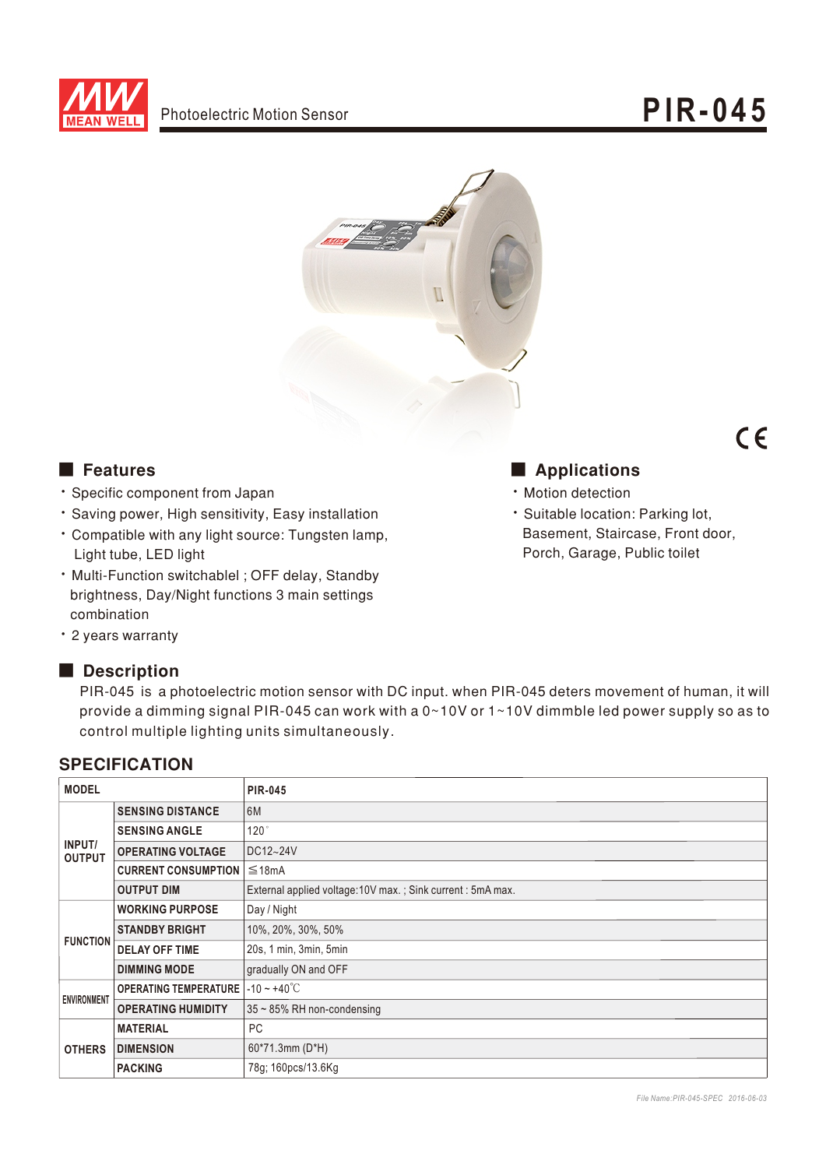



### ■ Features

- · Specific component from Japan
- · Saving power, High sensitivity, Easy installation
- Compatible with any light source: Tungsten lamp, Light tube, LED light
- . Multi-Function switchablel; OFF delay, Standby brightness, Day/Night functions 3 main settings combination
- 2 years warranty

### Description

PIR-045 is a photoelectric motion sensor with DC input. when PIR-045 deters movement of human, it will provide a dimming signal PIR-045 can work with a 0~10V or 1~10V dimmble led power supply so as to control multiple lighting units simultaneously.

### **SPECIFICATION**

| <b>MODEL</b>            |                              | <b>PIR-045</b>                                            |
|-------------------------|------------------------------|-----------------------------------------------------------|
| INPUT/<br><b>OUTPUT</b> | <b>SENSING DISTANCE</b>      | 6M                                                        |
|                         | <b>SENSING ANGLE</b>         | 120°                                                      |
|                         | <b>OPERATING VOLTAGE</b>     | DC12~24V                                                  |
|                         | <b>CURRENT CONSUMPTION</b>   | ≤18mA                                                     |
|                         | <b>OUTPUT DIM</b>            | External applied voltage:10V max.; Sink current: 5mA max. |
| <b>FUNCTION</b>         | <b>WORKING PURPOSE</b>       | Day / Night                                               |
|                         | <b>STANDBY BRIGHT</b>        | 10%, 20%, 30%, 50%                                        |
|                         | <b>DELAY OFF TIME</b>        | 20s, 1 min, 3min, 5min                                    |
|                         | <b>DIMMING MODE</b>          | gradually ON and OFF                                      |
| <b>ENVIRONMENT</b>      | <b>OPERATING TEMPERATURE</b> | $-10 \sim +40^{\circ}$ C                                  |
|                         | <b>OPERATING HUMIDITY</b>    | 35~85% RH non-condensing                                  |
| <b>OTHERS</b>           | <b>MATERIAL</b>              | PC                                                        |
|                         | <b>DIMENSION</b>             | 60*71.3mm (D*H)                                           |
|                         | <b>PACKING</b>               | 78g; 160pcs/13.6Kg                                        |

## ■ Applications

- Motion detection
- · Suitable location: Parking lot, Basement, Staircase, Front door, Porch, Garage, Public toilet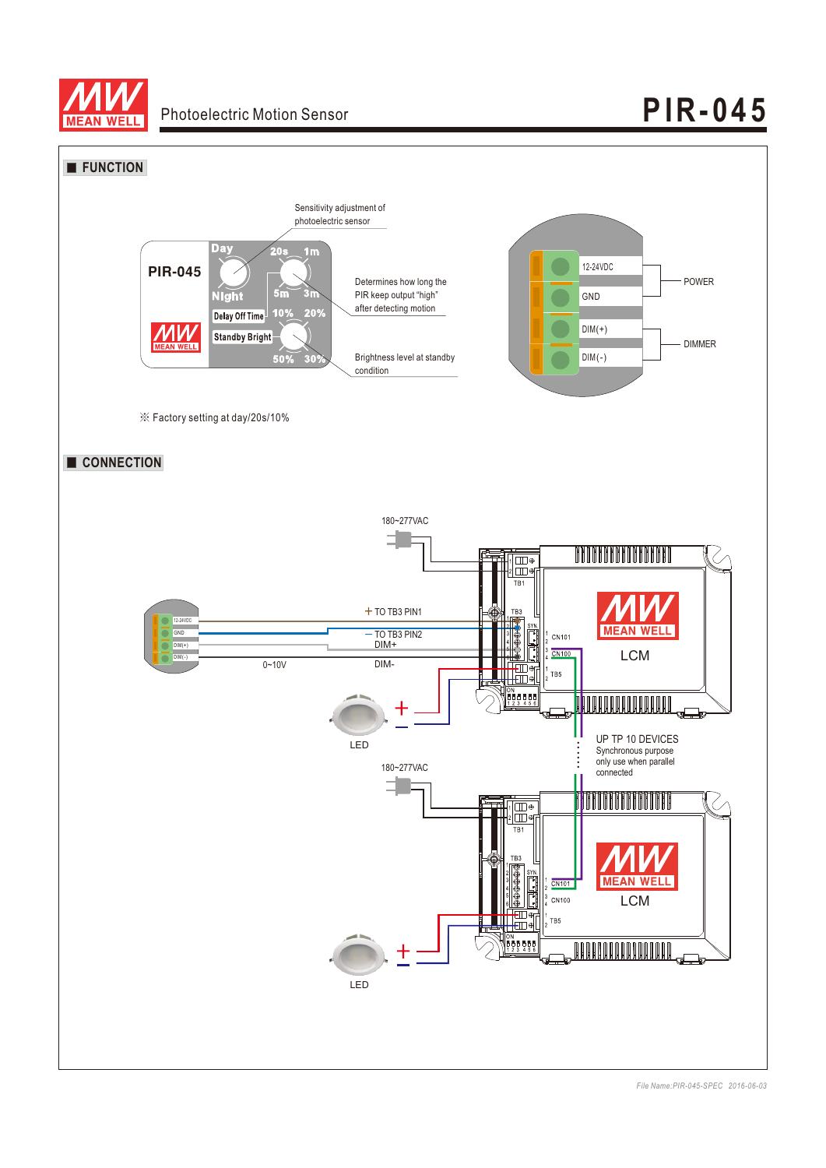